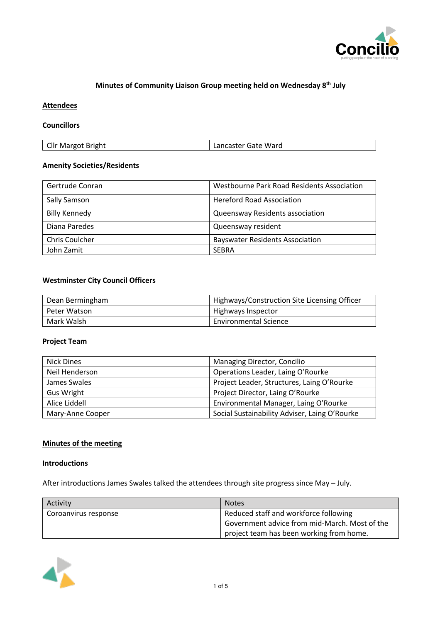

# **Minutes of Community Liaison Group meeting held on Wednesday 8th July**

# **Attendees**

# **Councillors**

| Cllr Margot Bright | Lancaster Gate Ward |
|--------------------|---------------------|
|                    |                     |

### **Amenity Societies/Residents**

| Gertrude Conran       | Westbourne Park Road Residents Association |
|-----------------------|--------------------------------------------|
| Sally Samson          | <b>Hereford Road Association</b>           |
| <b>Billy Kennedy</b>  | Queensway Residents association            |
| Diana Paredes         | Queensway resident                         |
| <b>Chris Coulcher</b> | <b>Bayswater Residents Association</b>     |
| John Zamit            | <b>SEBRA</b>                               |

# **Westminster City Council Officers**

| Dean Bermingham | Highways/Construction Site Licensing Officer |
|-----------------|----------------------------------------------|
| Peter Watson    | Highways Inspector                           |
| Mark Walsh      | <b>Environmental Science</b>                 |

### **Project Team**

| <b>Nick Dines</b> | Managing Director, Concilio                   |
|-------------------|-----------------------------------------------|
| Neil Henderson    | Operations Leader, Laing O'Rourke             |
| James Swales      | Project Leader, Structures, Laing O'Rourke    |
| <b>Gus Wright</b> | Project Director, Laing O'Rourke              |
| Alice Liddell     | Environmental Manager, Laing O'Rourke         |
| Mary-Anne Cooper  | Social Sustainability Adviser, Laing O'Rourke |

# **Minutes of the meeting**

#### **Introductions**

After introductions James Swales talked the attendees through site progress since May – July.

| Activity             | <b>Notes</b>                                  |
|----------------------|-----------------------------------------------|
| Coroanvirus response | Reduced staff and workforce following         |
|                      | Government advice from mid-March. Most of the |
|                      | project team has been working from home.      |

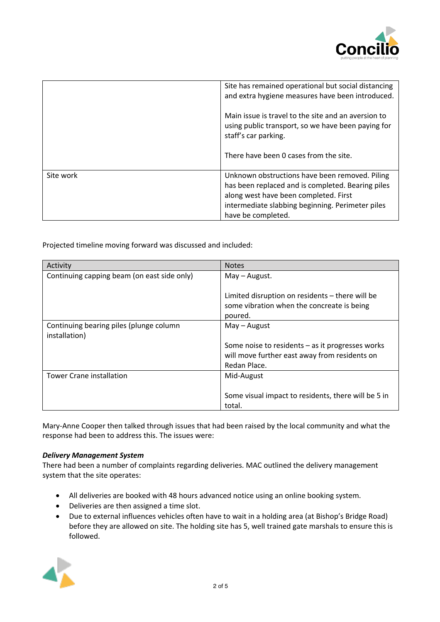

|           | Site has remained operational but social distancing<br>and extra hygiene measures have been introduced.                                                                                                                |
|-----------|------------------------------------------------------------------------------------------------------------------------------------------------------------------------------------------------------------------------|
|           | Main issue is travel to the site and an aversion to<br>using public transport, so we have been paying for<br>staff's car parking.                                                                                      |
|           | There have been 0 cases from the site.                                                                                                                                                                                 |
| Site work | Unknown obstructions have been removed. Piling<br>has been replaced and is completed. Bearing piles<br>along west have been completed. First<br>intermediate slabbing beginning. Perimeter piles<br>have be completed. |

Projected timeline moving forward was discussed and included:

| Activity                                    | <b>Notes</b>                                        |
|---------------------------------------------|-----------------------------------------------------|
| Continuing capping beam (on east side only) | May - August.                                       |
|                                             |                                                     |
|                                             | Limited disruption on residents - there will be     |
|                                             | some vibration when the concreate is being          |
|                                             | poured.                                             |
| Continuing bearing piles (plunge column     | $May - August$                                      |
| installation)                               |                                                     |
|                                             | Some noise to residents $-$ as it progresses works  |
|                                             | will move further east away from residents on       |
|                                             | Redan Place.                                        |
| <b>Tower Crane installation</b>             | Mid-August                                          |
|                                             |                                                     |
|                                             | Some visual impact to residents, there will be 5 in |
|                                             | total.                                              |

Mary-Anne Cooper then talked through issues that had been raised by the local community and what the response had been to address this. The issues were:

#### *Delivery Management System*

There had been a number of complaints regarding deliveries. MAC outlined the delivery management system that the site operates:

- All deliveries are booked with 48 hours advanced notice using an online booking system.
- Deliveries are then assigned a time slot.
- Due to external influences vehicles often have to wait in a holding area (at Bishop's Bridge Road) before they are allowed on site. The holding site has 5, well trained gate marshals to ensure this is followed.

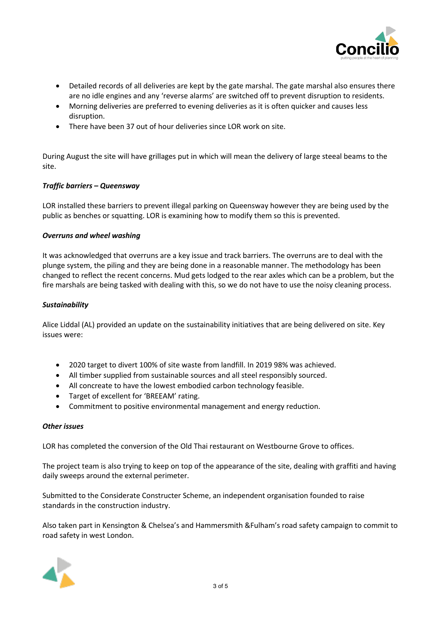

- Detailed records of all deliveries are kept by the gate marshal. The gate marshal also ensures there are no idle engines and any 'reverse alarms' are switched off to prevent disruption to residents.
- Morning deliveries are preferred to evening deliveries as it is often quicker and causes less disruption.
- There have been 37 out of hour deliveries since LOR work on site.

During August the site will have grillages put in which will mean the delivery of large steeal beams to the site.

### *Traffic barriers – Queensway*

LOR installed these barriers to prevent illegal parking on Queensway however they are being used by the public as benches or squatting. LOR is examining how to modify them so this is prevented.

#### *Overruns and wheel washing*

It was acknowledged that overruns are a key issue and track barriers. The overruns are to deal with the plunge system, the piling and they are being done in a reasonable manner. The methodology has been changed to reflect the recent concerns. Mud gets lodged to the rear axles which can be a problem, but the fire marshals are being tasked with dealing with this, so we do not have to use the noisy cleaning process.

#### *Sustainability*

Alice Liddal (AL) provided an update on the sustainability initiatives that are being delivered on site. Key issues were:

- 2020 target to divert 100% of site waste from landfill. In 2019 98% was achieved.
- All timber supplied from sustainable sources and all steel responsibly sourced.
- All concreate to have the lowest embodied carbon technology feasible.
- Target of excellent for 'BREEAM' rating.
- Commitment to positive environmental management and energy reduction.

#### *Other issues*

LOR has completed the conversion of the Old Thai restaurant on Westbourne Grove to offices.

The project team is also trying to keep on top of the appearance of the site, dealing with graffiti and having daily sweeps around the external perimeter.

Submitted to the Considerate Constructer Scheme, an independent organisation founded to raise standards in the construction industry.

Also taken part in Kensington & Chelsea's and Hammersmith &Fulham's road safety campaign to commit to road safety in west London.

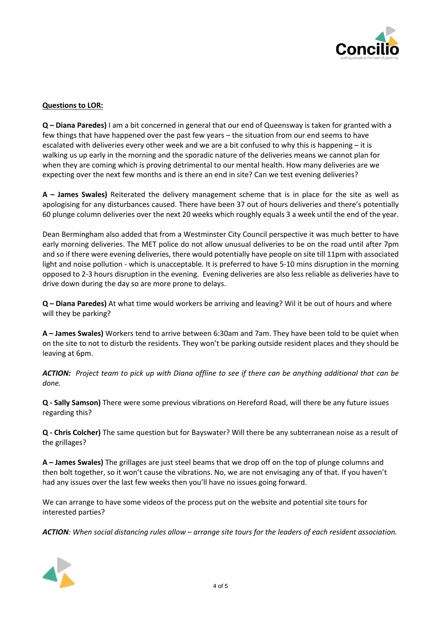

# **Questions to LOR:**

**Q – Diana Paredes)** I am a bit concerned in general that our end of Queensway is taken for granted with a few things that have happened over the past few years – the situation from our end seems to have escalated with deliveries every other week and we are a bit confused to why this is happening – it is walking us up early in the morning and the sporadic nature of the deliveries means we cannot plan for when they are coming which is proving detrimental to our mental health. How many deliveries are we expecting over the next few months and is there an end in site? Can we test evening deliveries?

**A – James Swales)** Reiterated the delivery management scheme that is in place for the site as well as apologising for any disturbances caused. There have been 37 out of hours deliveries and there's potentially 60 plunge column deliveries over the next 20 weeks which roughly equals 3 a week until the end of the year.

Dean Bermingham also added that from a Westminster City Council perspective it was much better to have early morning deliveries. The MET police do not allow unusual deliveries to be on the road until after 7pm and so if there were evening deliveries, there would potentially have people on site till 11pm with associated light and noise pollution - which is unacceptable. It is preferred to have 5-10 mins disruption in the morning opposed to 2-3 hours disruption in the evening. Evening deliveries are also less reliable as deliveries have to drive down during the day so are more prone to delays.

**Q – Diana Paredes)** At what time would workers be arriving and leaving? Wil it be out of hours and where will they be parking?

**A – James Swales)** Workers tend to arrive between 6:30am and 7am. They have been told to be quiet when on the site to not to disturb the residents. They won't be parking outside resident places and they should be leaving at 6pm.

**ACTION:** Project team to pick up with Diana offline to see if there can be anything additional that can be *done.*

**Q - Sally Samson)** There were some previous vibrations on Hereford Road, will there be any future issues regarding this?

**Q - Chris Colcher)** The same question but for Bayswater? Will there be any subterranean noise as a result of the grillages?

**A – James Swales)** The grillages are just steel beams that we drop off on the top of plunge columns and then bolt together, so it won't cause the vibrations. No, we are not envisaging any of that. If you haven't had any issues over the last few weeks then you'll have no issues going forward.

We can arrange to have some videos of the process put on the website and potential site tours for interested parties?

ACTION: When social distancing rules allow - arrange site tours for the leaders of each resident association.